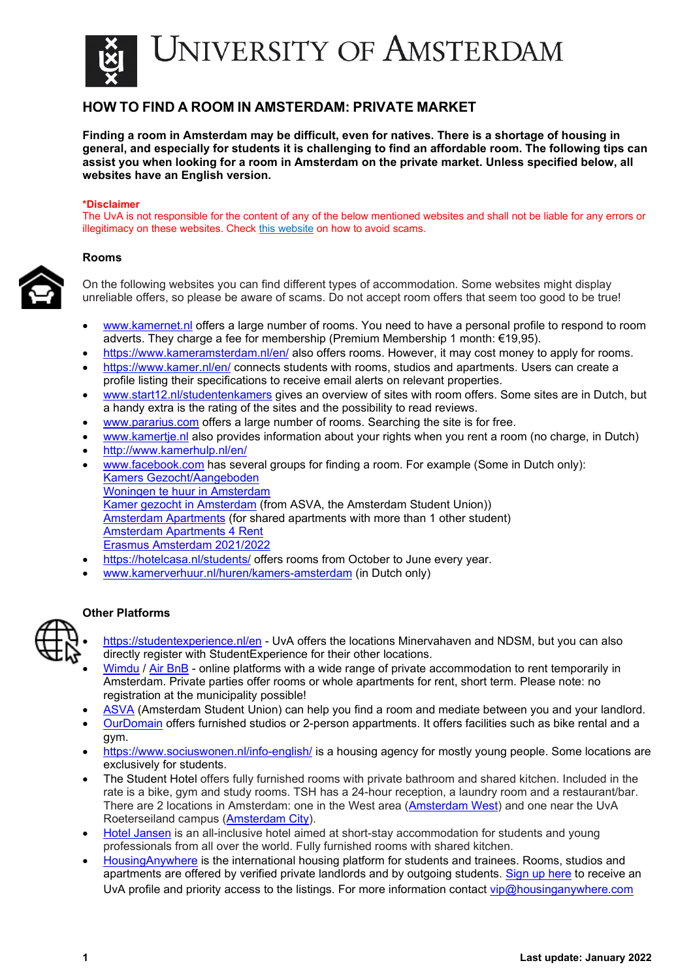

## **HOW TO FIND A ROOM IN AMSTERDAM: PRIVATE MARKET**

**Finding a room in Amsterdam may be difficult, even for natives. There is a shortage of housing in general, and especially for students it is challenging to find an affordable room. The following tips can assist you when looking for a room in Amsterdam on the private market. Unless specified below, all websites have an English version.** 

#### **\*Disclaimer**

The UvA is not responsible for the content of any of the below mentioned websites and shall not be liable for any errors or illegitimacy on these websites. Chec[k this website](https://www.wooninfo.nl/english/how-to-avoid-housing-scams/) on how to avoid scams.

### **Rooms**



On the following websites you can find different types of accommodation. Some websites might display unreliable offers, so please be aware of scams. Do not accept room offers that seem too good to be true!

- [www.kamernet.nl](http://www.kamernet.nl/) offers a large number of rooms. You need to have a personal profile to respond to room adverts. They charge a fee for membership (Premium Membership 1 month: €19,95).
- <https://www.kameramsterdam.nl/en/> also offers rooms. However, it may cost money to apply for rooms.
- <https://www.kamer.nl/en/> connects students with rooms, studios and apartments. Users can create a profile listing their specifications to receive email alerts on relevant properties.
- [www.start12.nl/studentenkamers](http://www.start12.nl/studentenkamers) gives an overview of sites with room offers. Some sites are in Dutch, but a handy extra is the rating of the sites and the possibility to read reviews.
- [www.pararius.com](http://www.pararius.com/) offers a large number of rooms. Searching the site is for free.
- [www.kamertje.nl](http://www.kamertje.nl/) also provides information about your rights when you rent a room (no charge, in Dutch)
- http://www.kamerhulp.nl/en/
- [www.facebook.com](http://www.facebook.com/) has several groups for finding a room. For example (Some in Dutch only): [Kamers Gezocht/Aangeboden](https://www.facebook.com/groups/405276586256037) [Woningen te huur in Amsterdam](https://www.facebook.com/groups/woningeninamsterdam) Kamer [gezocht in Amsterdam](https://www.facebook.com/kamergezochtinamsterdam) (from ASVA, the Amsterdam Student Union)) [Amsterdam Apartments](https://www.facebook.com/apartments.amsterdam?fref=ts) (for shared apartments with more than 1 other student) [Amsterdam Apartments 4 Rent](https://www.facebook.com/groups/amsterdam.apartments/?fref=ts) [Erasmus Amsterdam 2021/2022](https://www.facebook.com/groups/ErasmusAmsterdam.org)
- <https://hotelcasa.nl/students/> offers rooms from October to June every year.
- [www.kamerverhuur.nl/huren/kamers-amsterdam](http://www.kamerverhuur.nl/huren/kamers-amsterdam) (in Dutch only)

### **Other Platforms**



- <https://studentexperience.nl/en> UvA offers the locations Minervahaven and NDSM, but you can also directly register with StudentExperience for their other locations.
- [Wimdu](http://www.wimdu.com/) / [Air BnB](http://www.airbnb.com/) online platforms with a wide range of private accommodation to rent temporarily in Amsterdam. Private parties offer rooms or whole apartments for rent, short term. Please note: no registration at the municipality possible!
- [ASVA](https://asva.nl/en/rooms/) (Amsterdam Student Union) can help you find a room and mediate between you and your landlord.
- [OurDomain](https://www.thisisourdomain.nl/) offers furnished studios or 2-person appartments. It offers facilities such as bike rental and a gym.
- <https://www.sociuswonen.nl/info-english/> is a housing agency for mostly young people. Some locations are exclusively for students.
- The Student Hotel offers fully furnished rooms with private bathroom and shared kitchen. Included in the rate is a bike, gym and study rooms. TSH has a 24-hour reception, a laundry room and a restaurant/bar. There are 2 locations in Amsterdam: one in the West area [\(Amsterdam West\)](https://www.thestudenthotel.com/amsterdam-west/stay/student-stay/?utm_source=partnership&utm_medium=referral&utm_term=auas&utm_content=&utm_campaign=semester) and one near the UvA Roeterseiland campus [\(Amsterdam City\)](https://www.thestudenthotel.com/amsterdam-city/).
- [Hotel Jansen](http://hoteljansen.nl/) is an all-inclusive hotel aimed at short-stay accommodation for students and young professionals from all over the world. Fully furnished rooms with shared kitchen.
- [HousingAnywhere](https://housinganywhere.com/s/Amsterdam--Netherlands) is the international housing platform for students and trainees. Rooms, studios and apartments are offered by verified private landlords and by outgoing students. [Sign up here](https://housinganywhere.com/Amsterdam--Netherlands/university-of-amsterdam/sign-up) to receive an UvA profile and priority access to the listings. For more information contact [vip@housinganywhere.com](mailto:vip@housinganywhere.com)